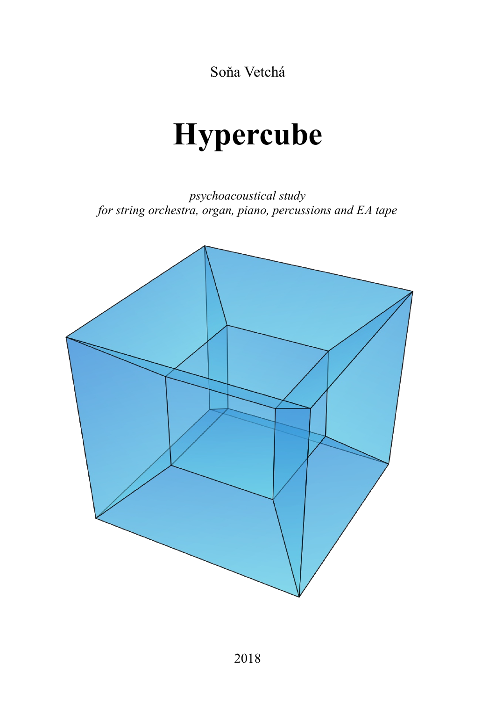Soňa Vetchá

# **Hypercube**

*psychoacoustical study for string orchestra, organ, piano, percussions and EA tape*

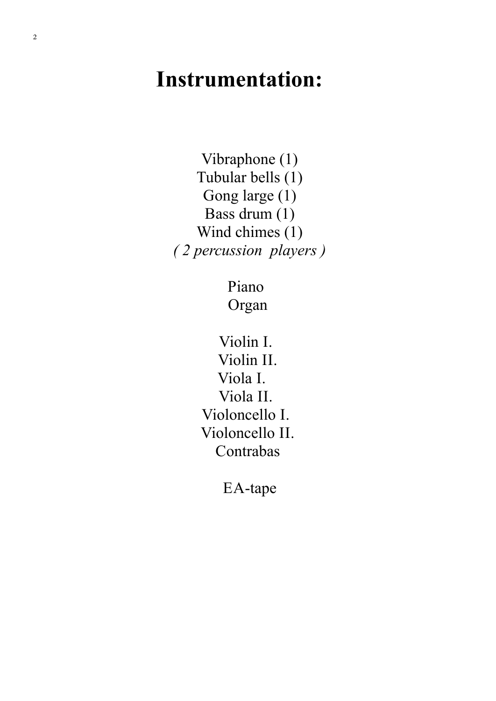### **Instrumentation:**

Vibraphone (1) Tubular bells (1) Gong large (1) Bass drum (1) Wind chimes (1) *( 2 percussion players )*

> Piano Organ

Violin I. Violin II. Viola I. Viola II. Violoncello I. Violoncello II. Contrabas

EA-tape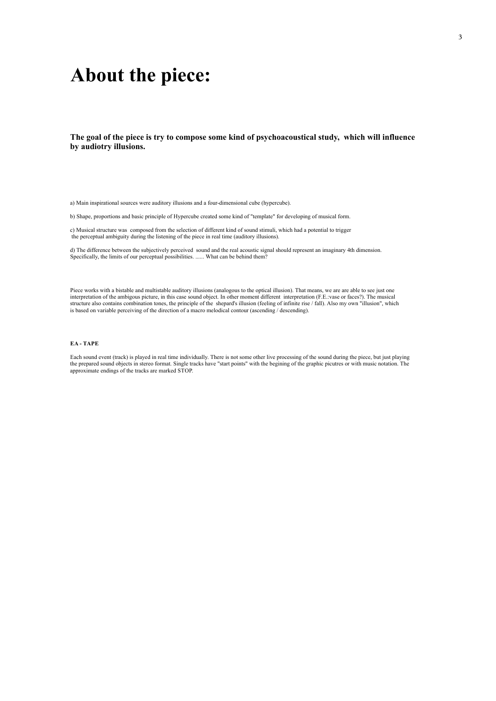#### **About the piece:**

**The goal of the piece is try to compose some kind of psychoacoustical study, which will influence by audiotry illusions.**

a) Main inspirational sources were auditory illusions and a four-dimensional cube (hypercube).

b) Shape, proportions and basic principle of Hypercube created some kind of "template" for developing of musical form.

c) Musical structure was composed from the selection of different kind of sound stimuli, which had a potential to trigger the perceptual ambiguity during the listening of the piece in real time (auditory illusions).

d) The difference between the subjectively perceived sound and the real acoustic signal should represent an imaginary 4th dimension. Specifically, the limits of our perceptual possibilities. ...... What can be behind them?

Piece works with a bistable and multistable auditory illusions (analogous to the optical illusion). That means, we are are able to see just one interpretation of the ambigous picture, in this case sound object. In other moment different interpretation (F.E.:vase or faces?). The musical structure also contains combination tones, the principle of the shepard's illusion (feeling of infinite rise / fall). Also my own "illusion", which is based on variable perceiving of the direction of a macro melodical contour (ascending / descending).

#### **EA - TAPE**

Each sound event (track) is played in realtime individually. There is not some other live processing of the sound during the piece, but just playing the prepared sound objects in stereo format. Single tracks have "start points" with the begining of the graphic picutres or with music notation. The approximate endings of the tracks are marked STOP.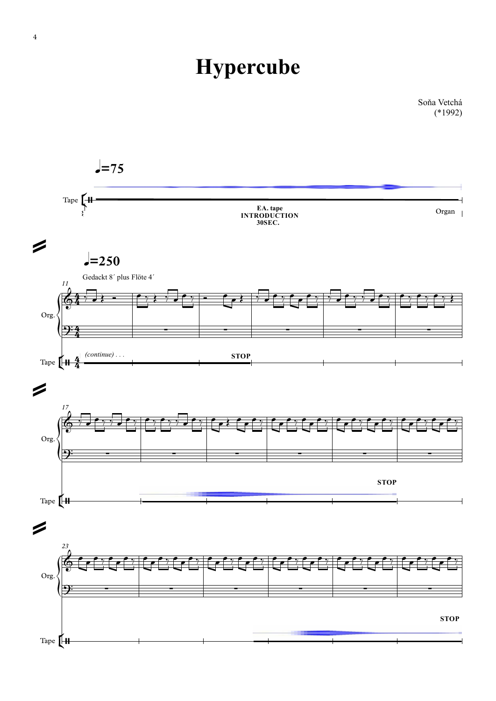## **Hypercube**

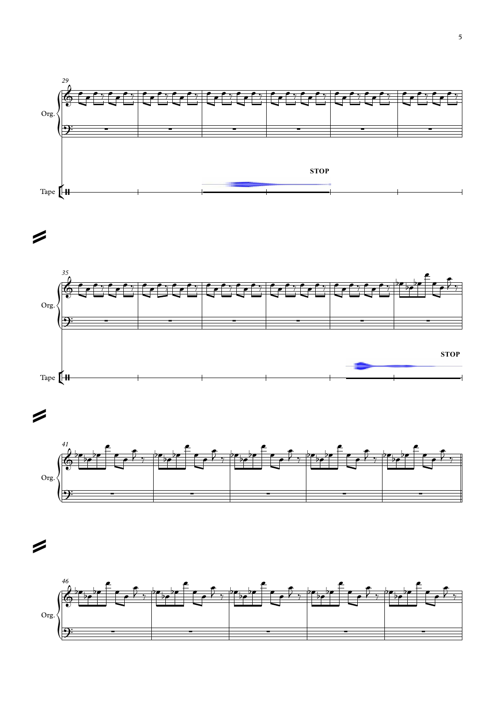

=



=



=

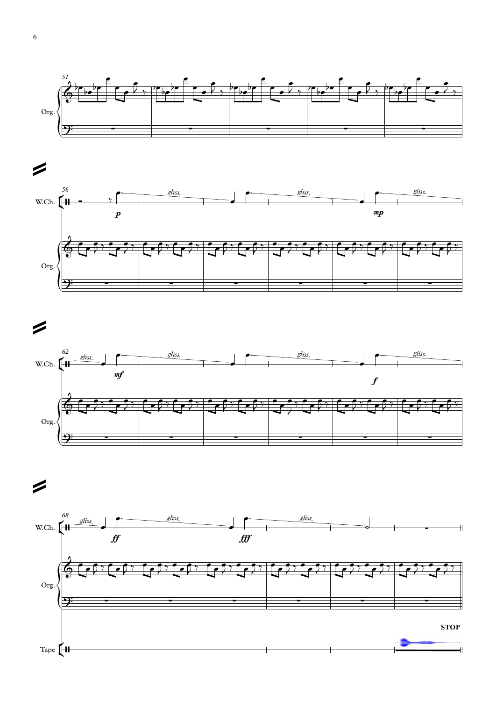







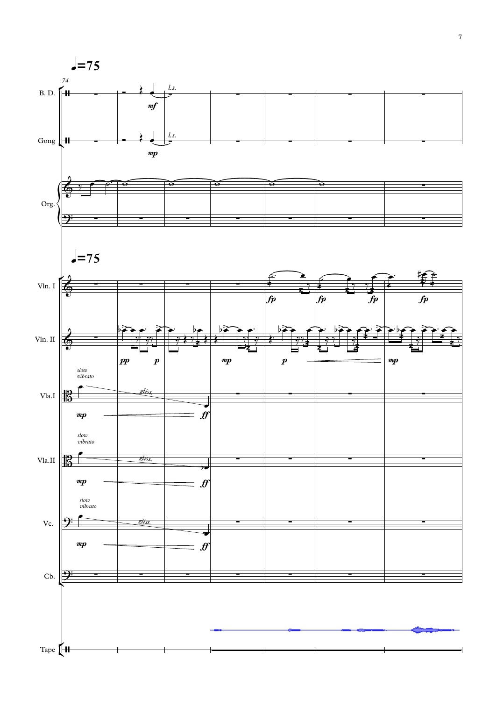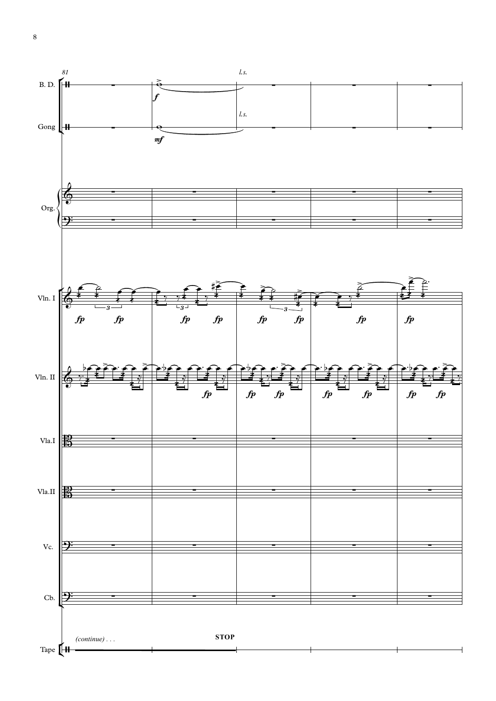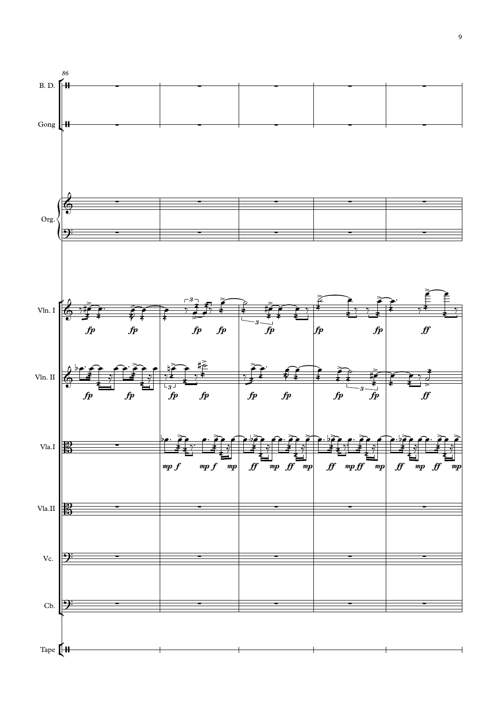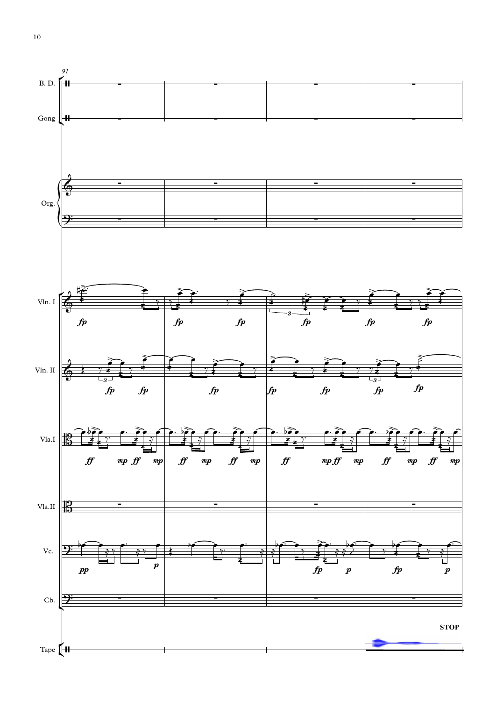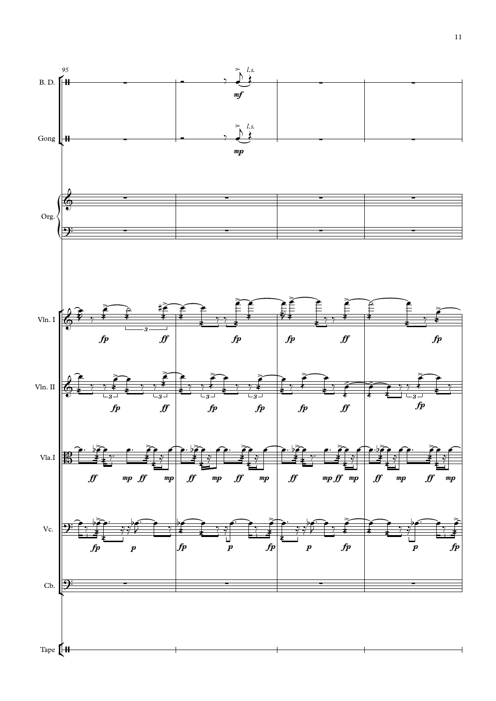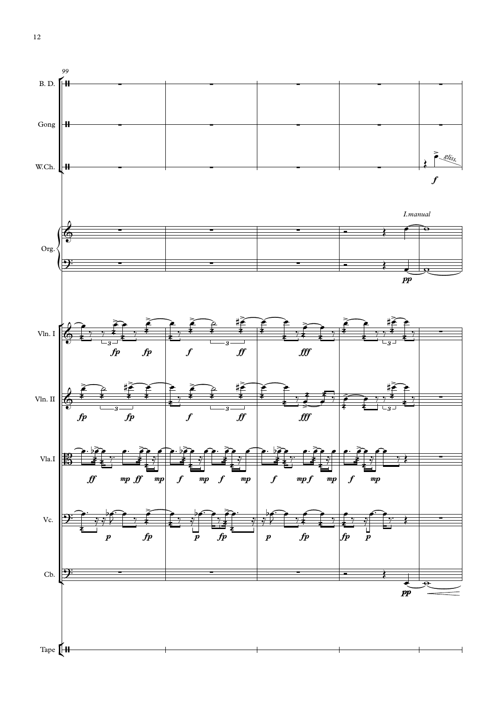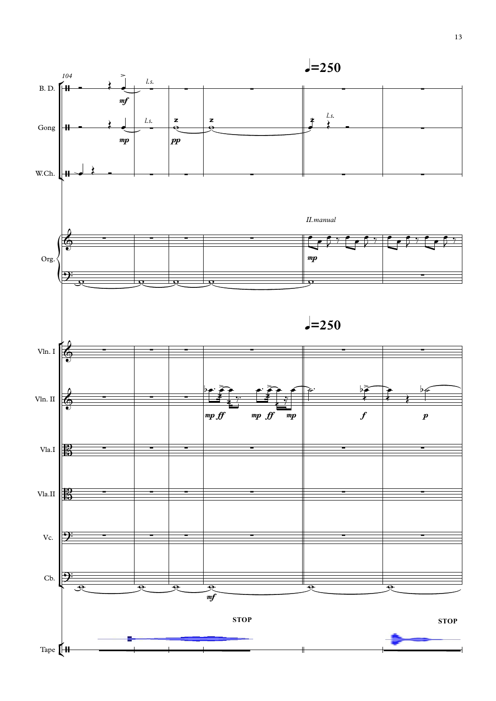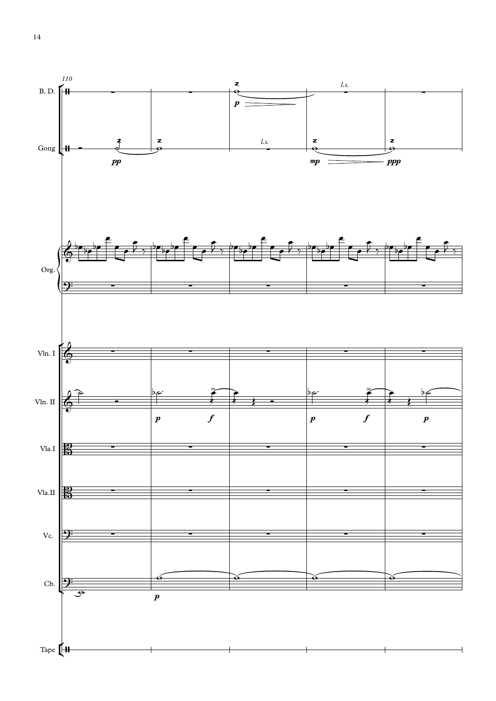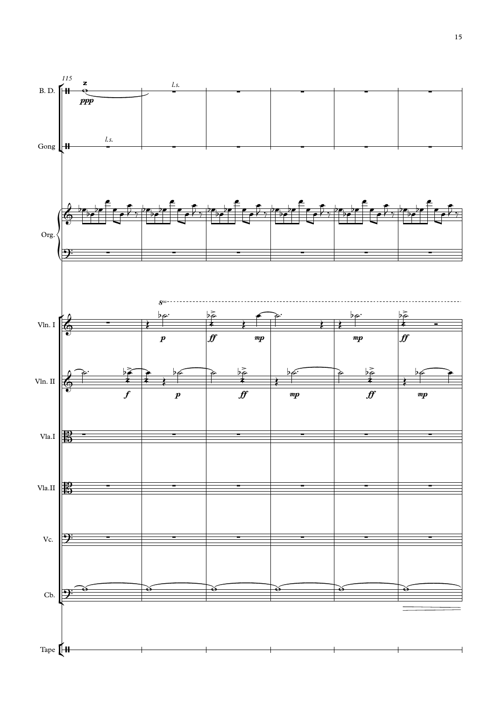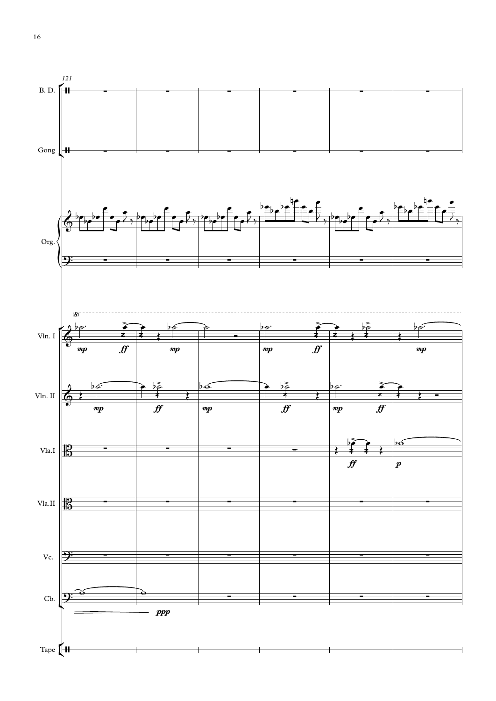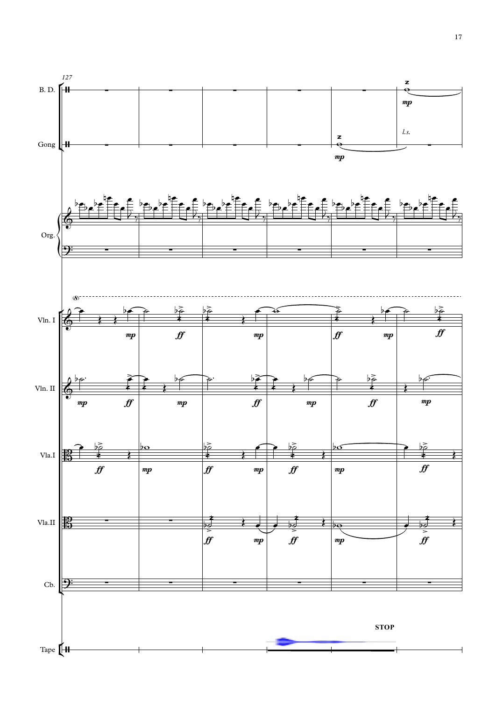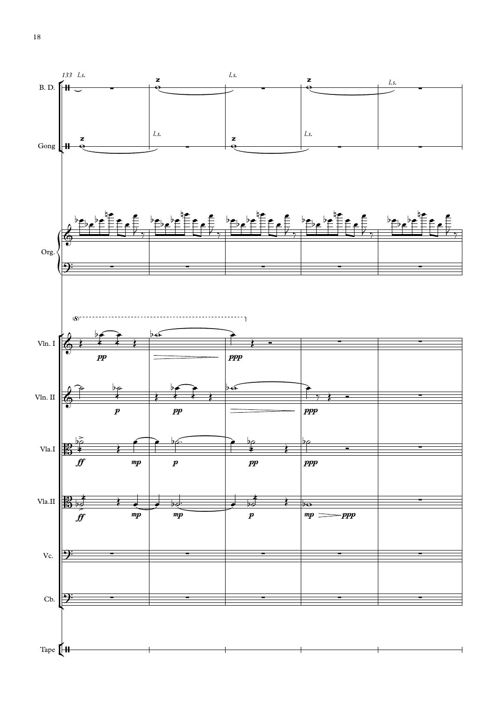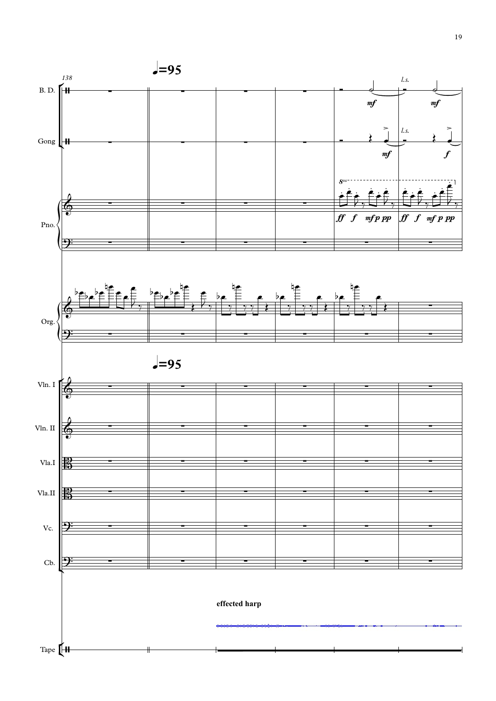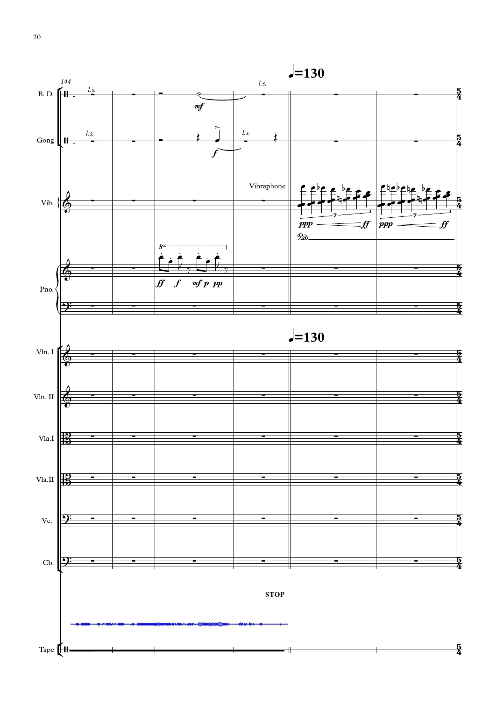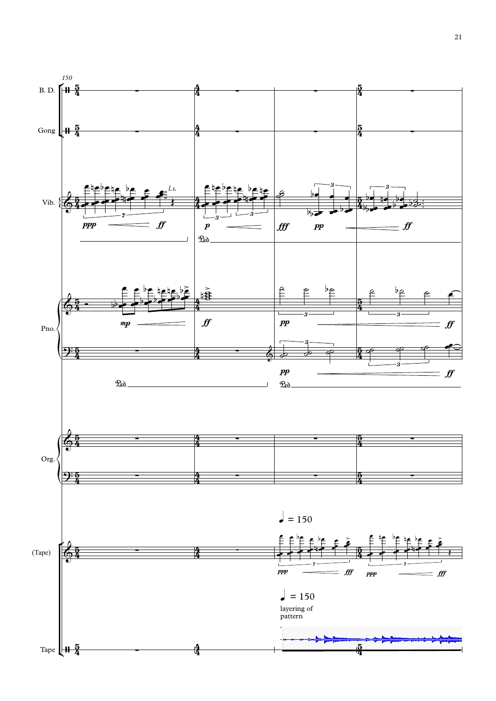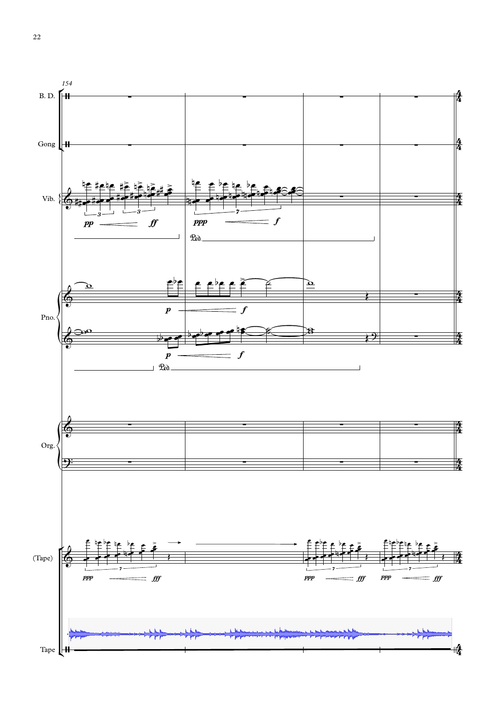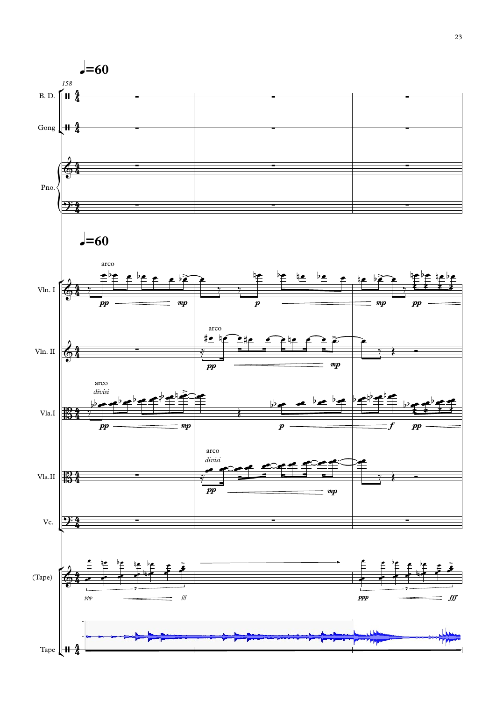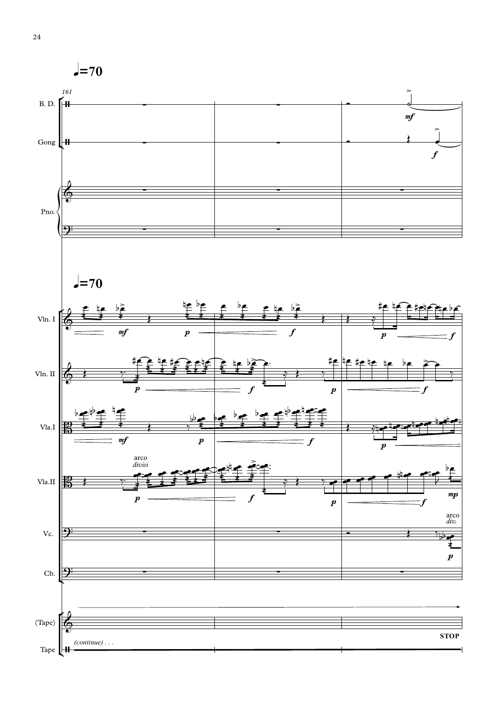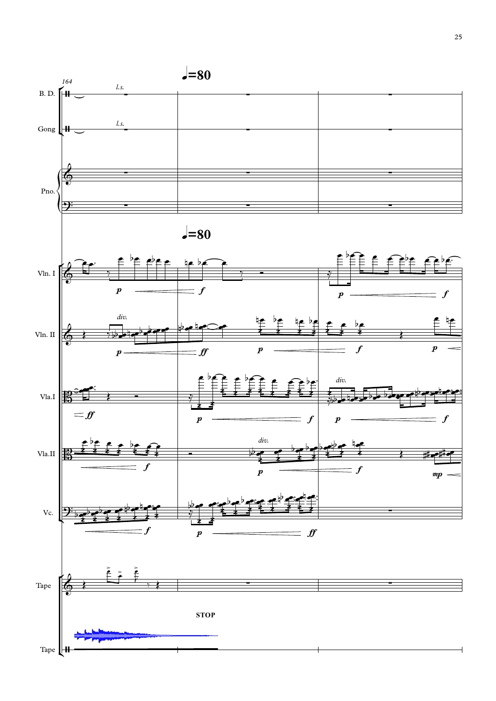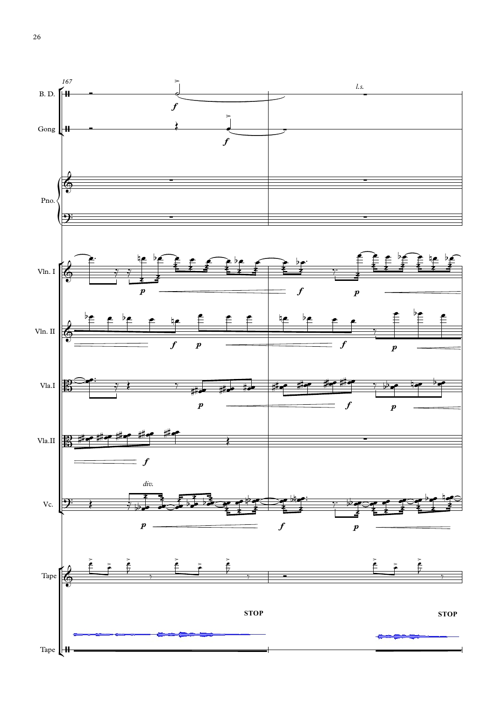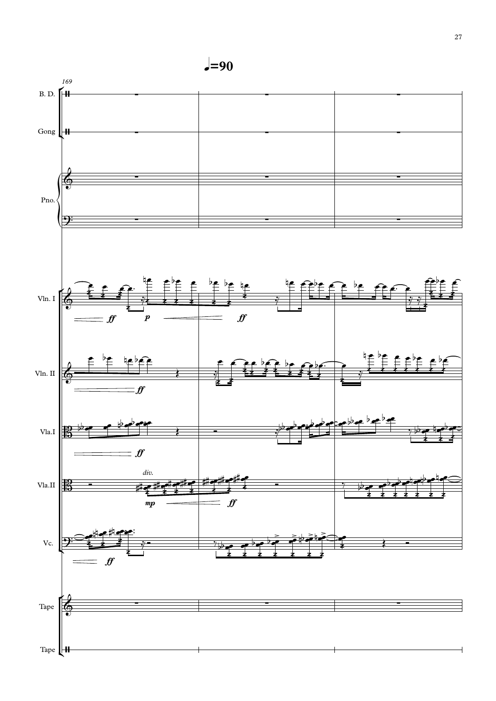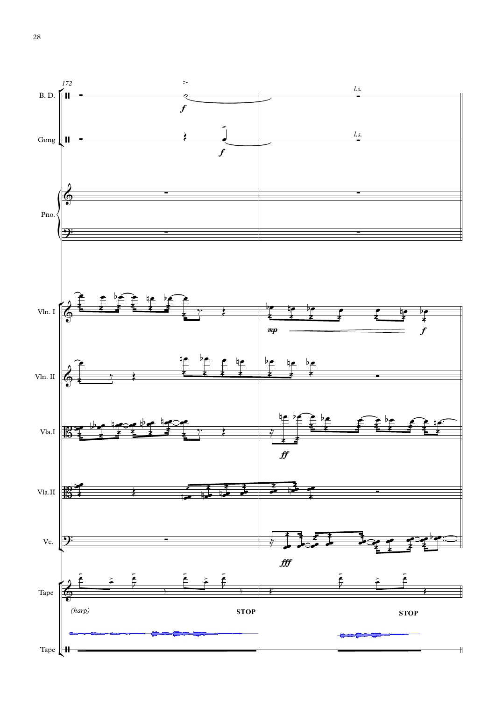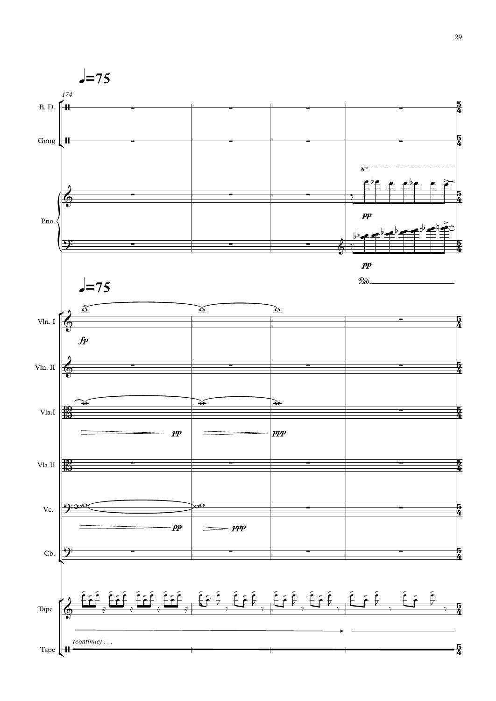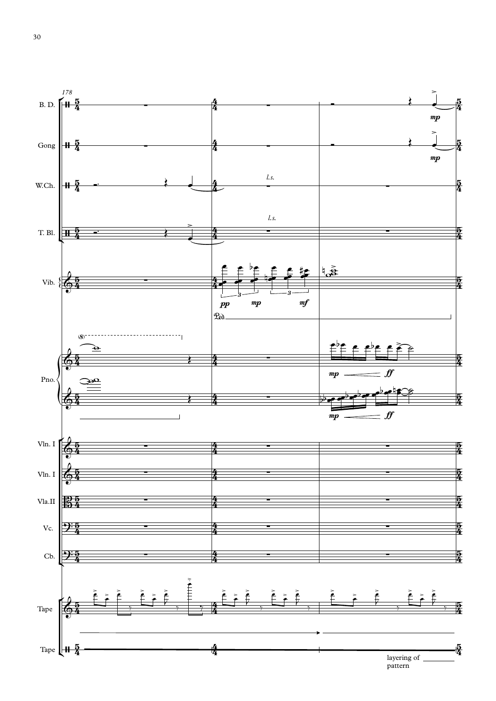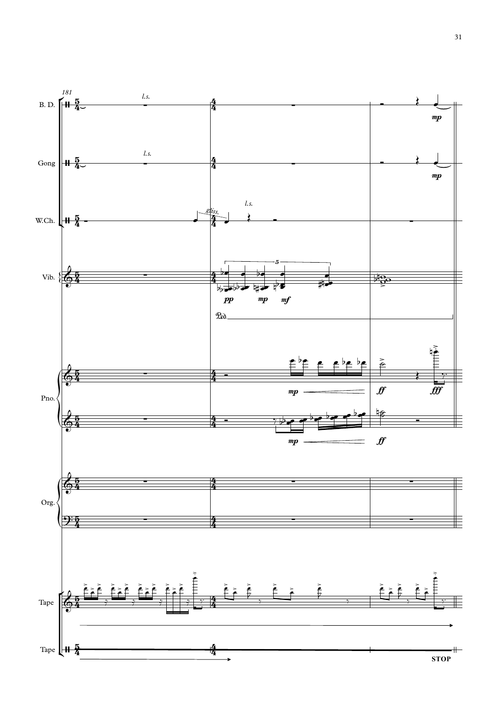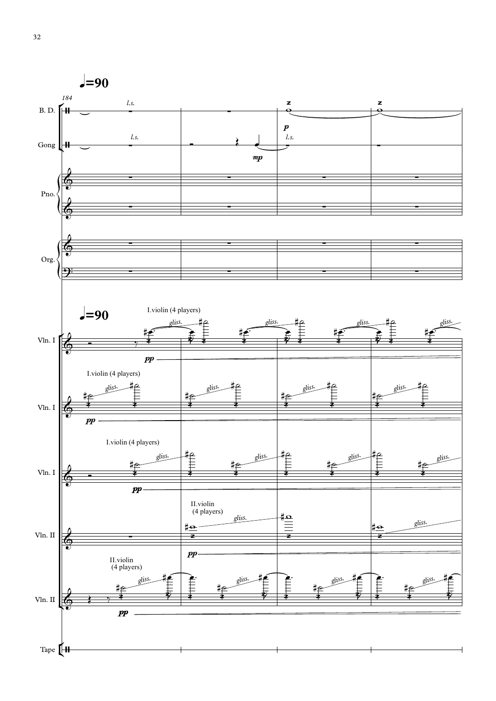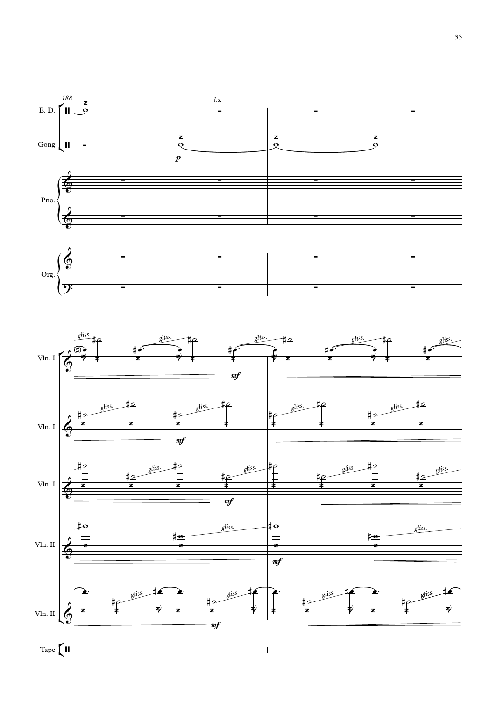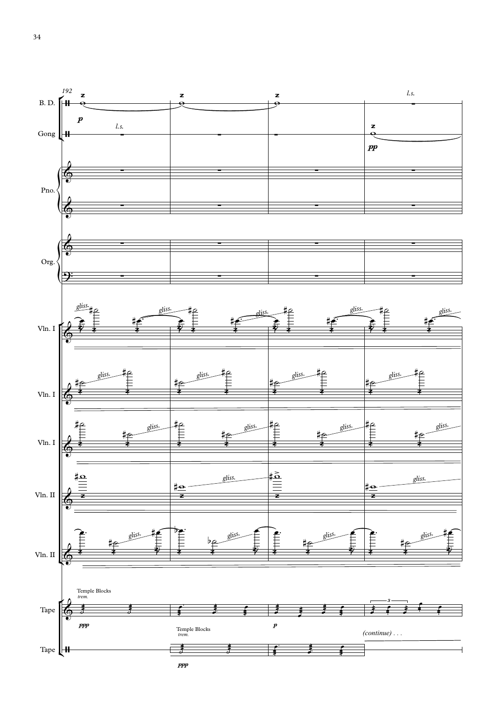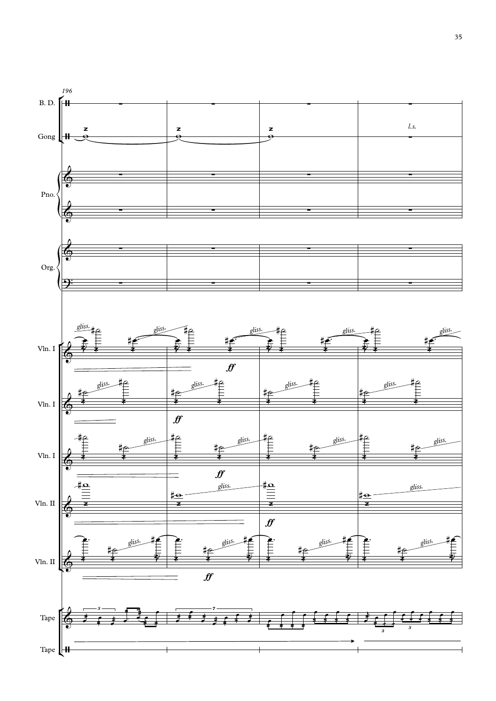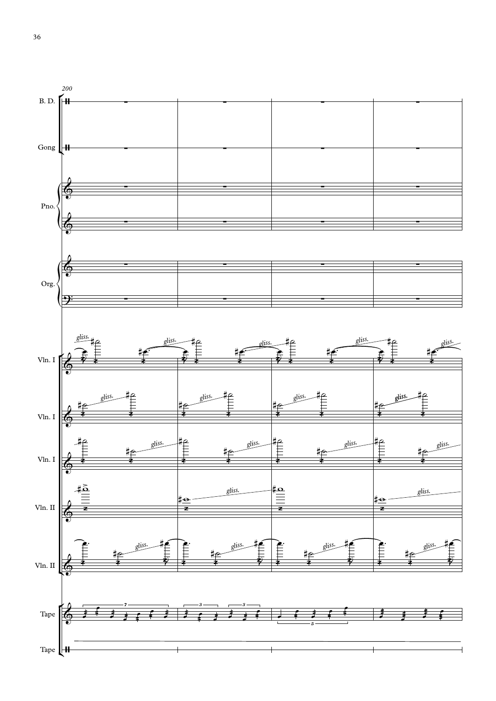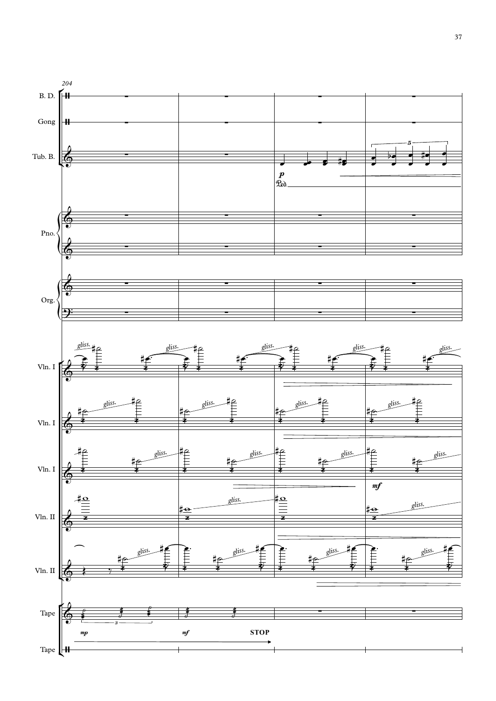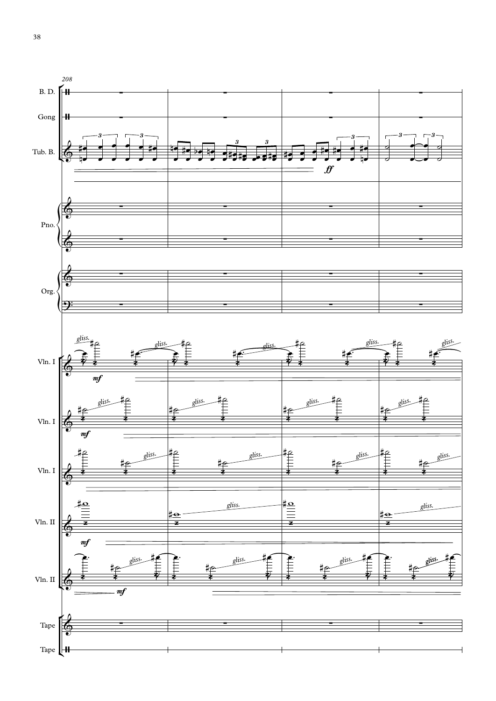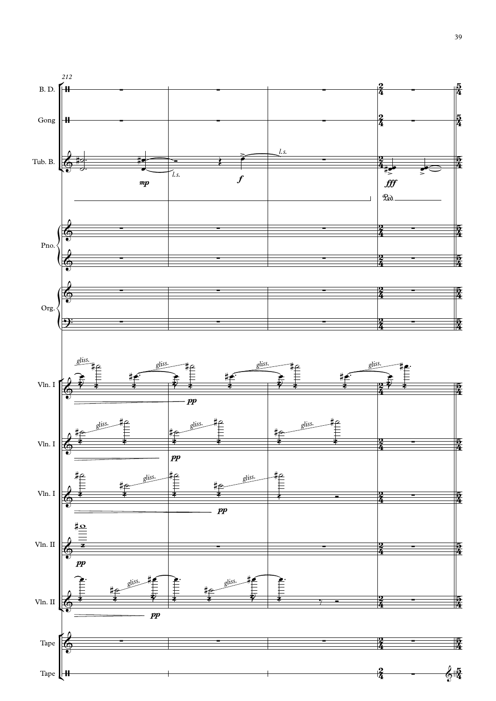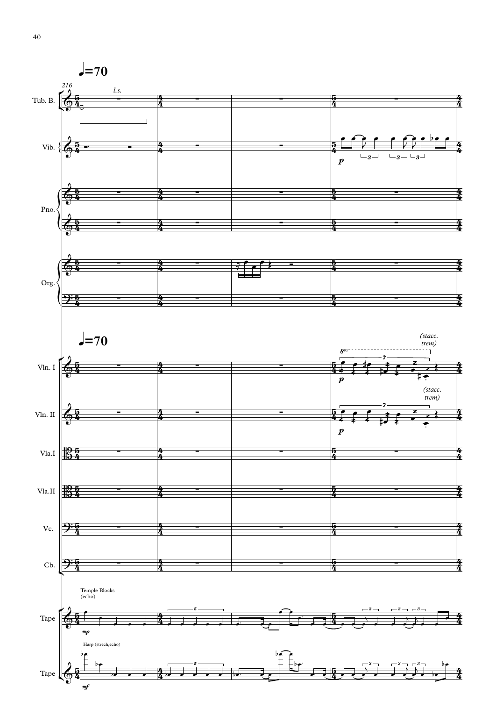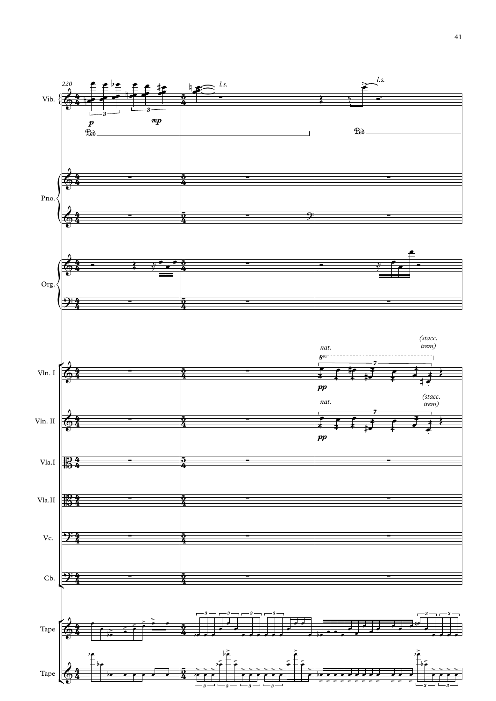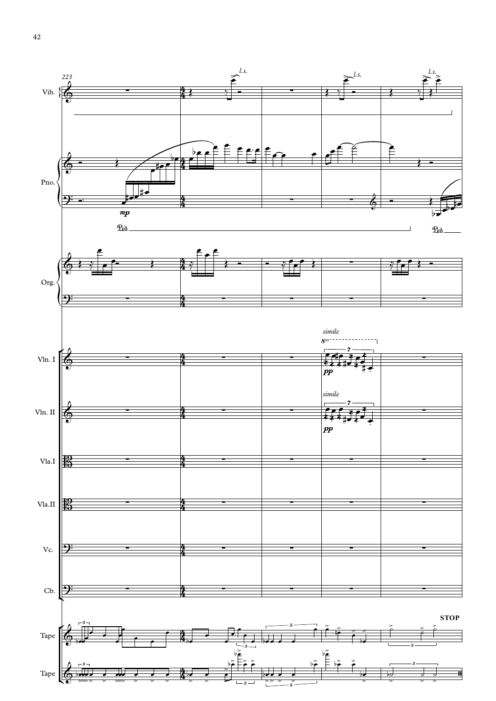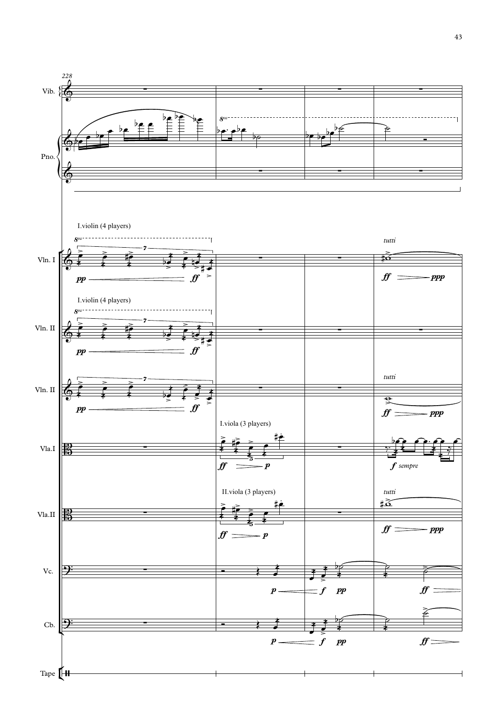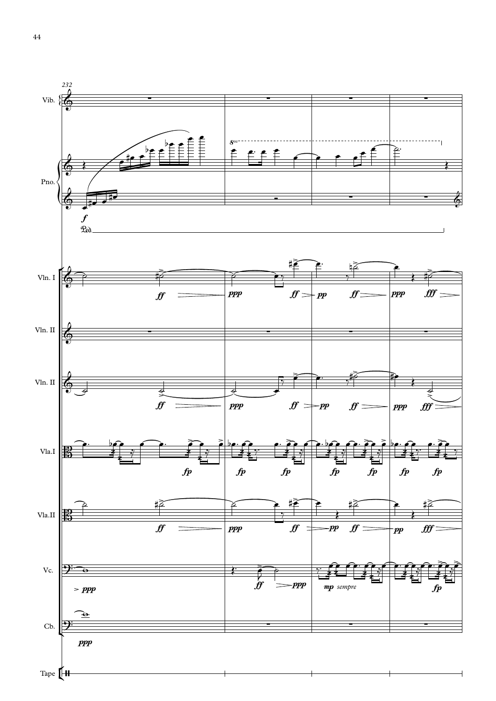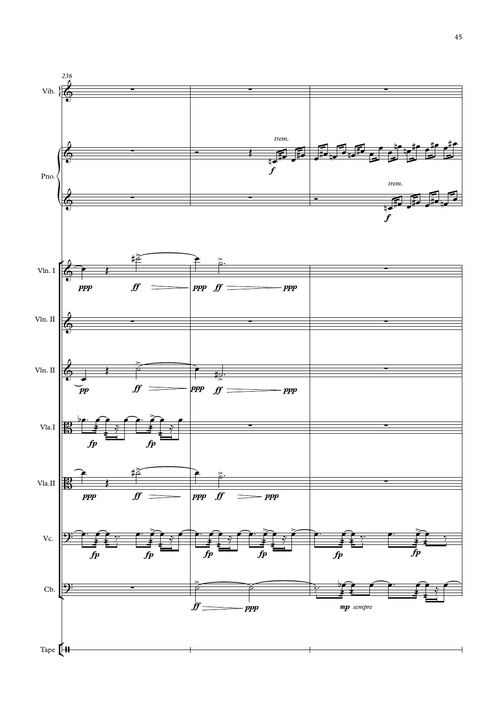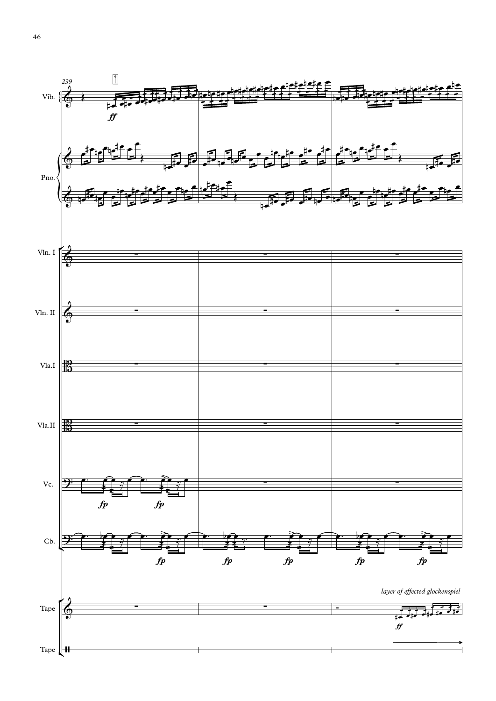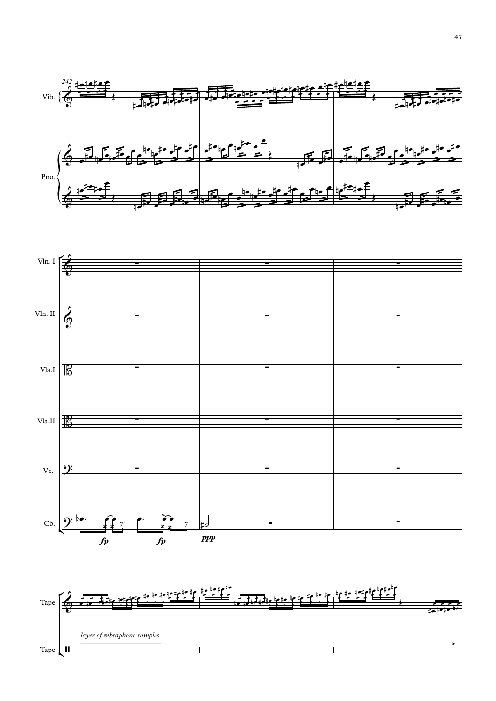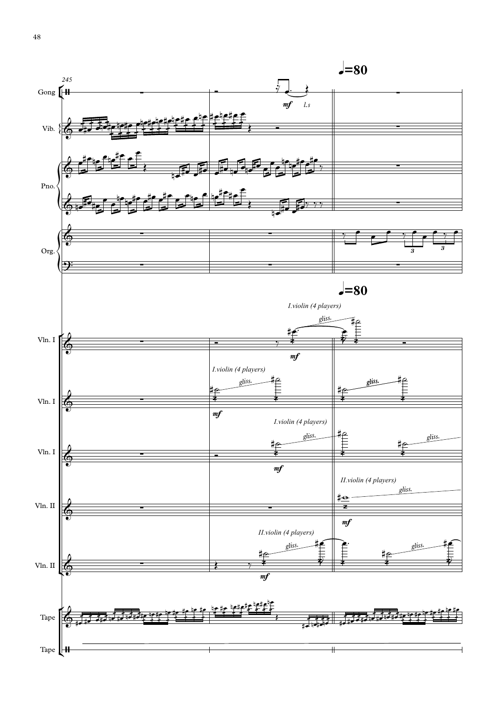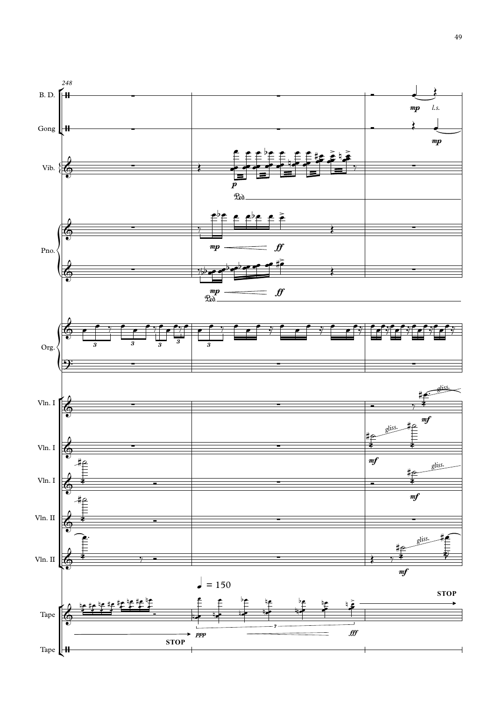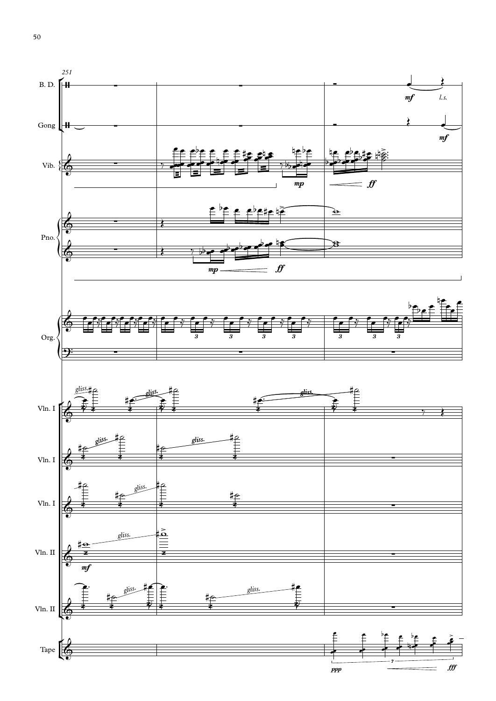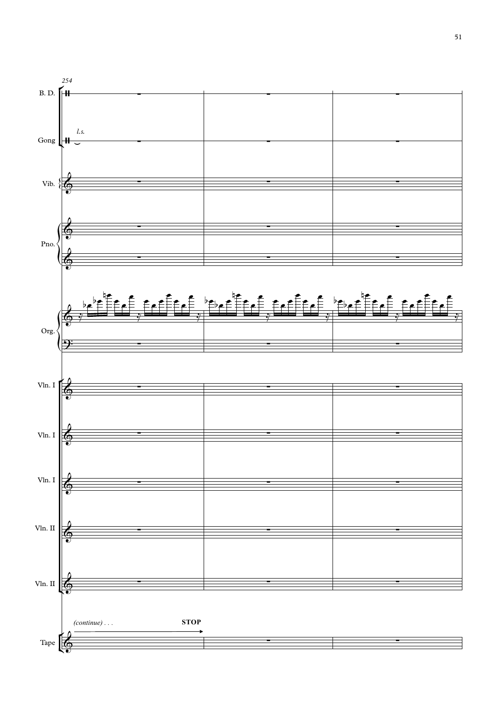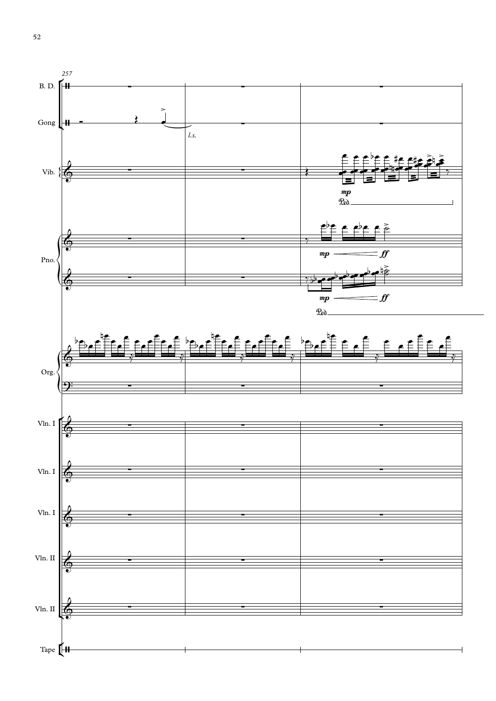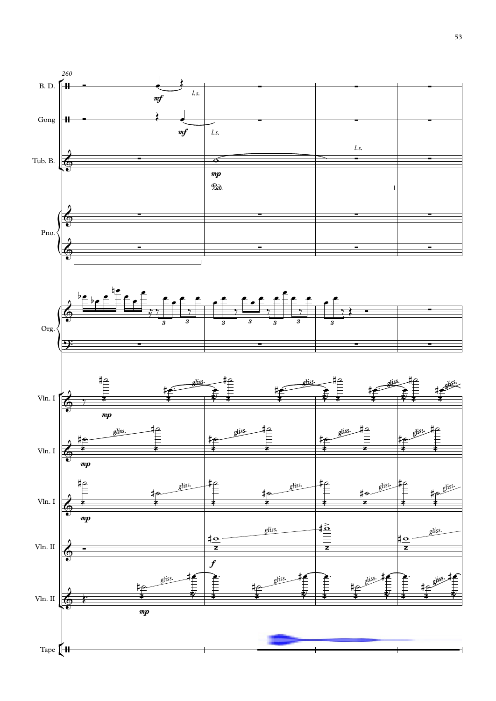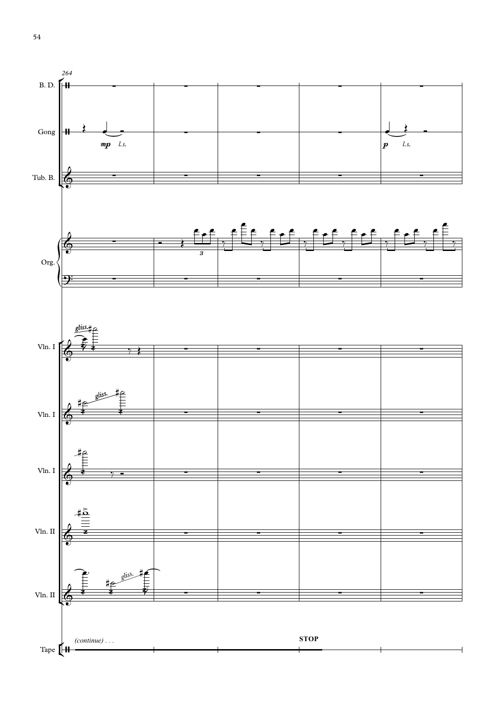![](_page_53_Figure_0.jpeg)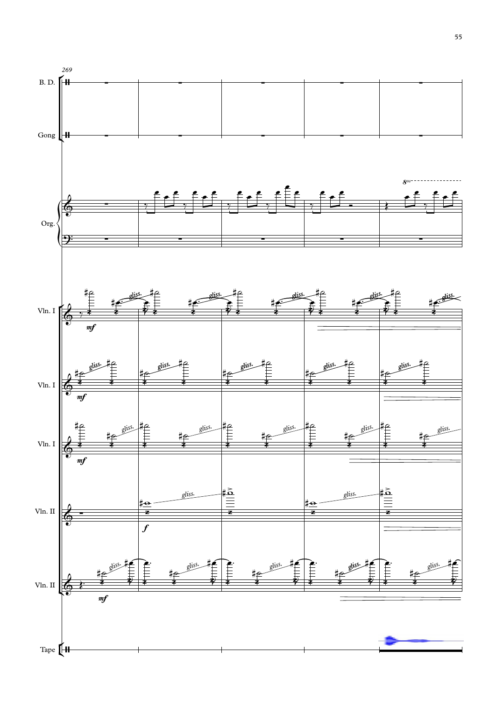![](_page_54_Figure_0.jpeg)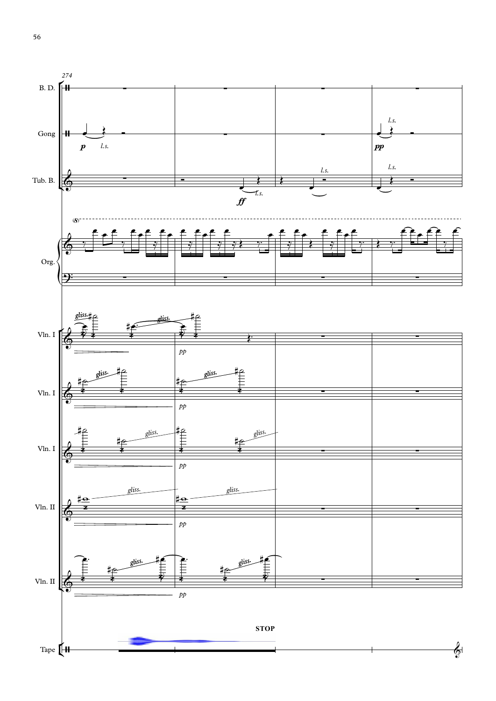![](_page_55_Figure_0.jpeg)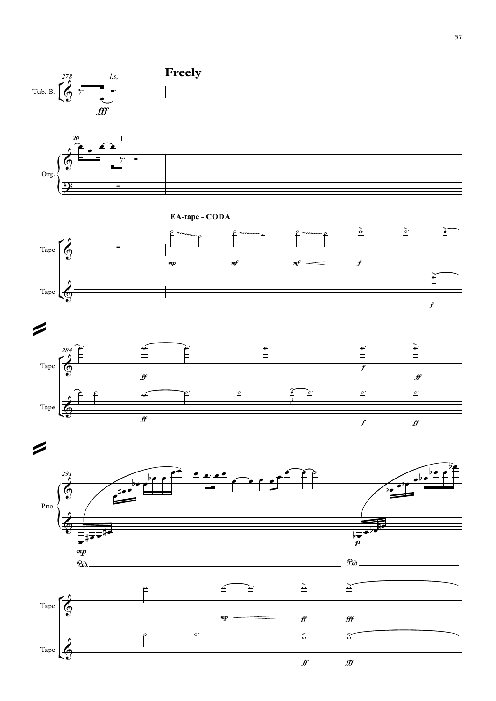![](_page_56_Figure_0.jpeg)